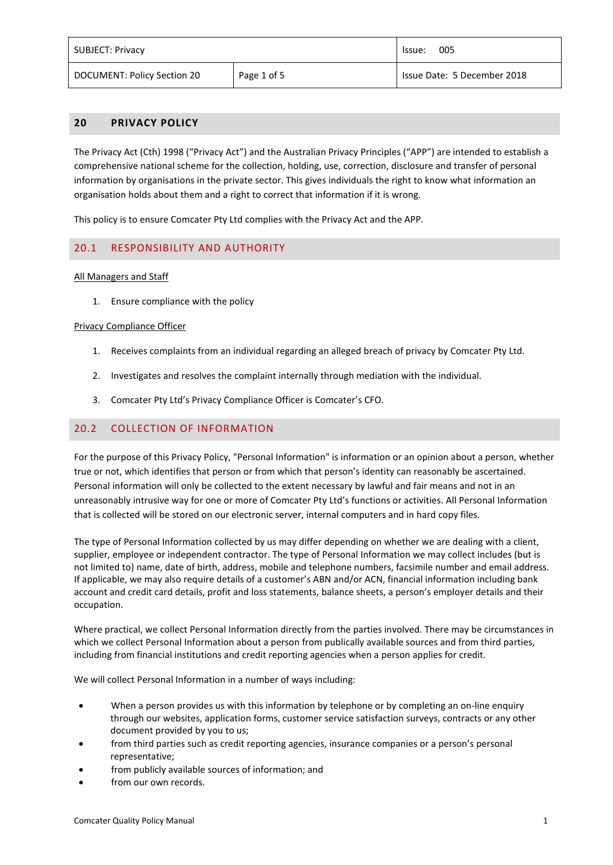| <b>SUBJECT: Privacy</b>     |             | 005<br>lssue:               |
|-----------------------------|-------------|-----------------------------|
| DOCUMENT: Policy Section 20 | Page 1 of 5 | Issue Date: 5 December 2018 |

## **20 PRIVACY POLICY**

The Privacy Act (Cth) 1998 ("Privacy Act") and the Australian Privacy Principles ("APP") are intended to establish a comprehensive national scheme for the collection, holding, use, correction, disclosure and transfer of personal information by organisations in the private sector. This gives individuals the right to know what information an organisation holds about them and a right to correct that information if it is wrong.

This policy is to ensure Comcater Pty Ltd complies with the Privacy Act and the APP.

## 20.1 RESPONSIBILITY AND AUTHORITY

### All Managers and Staff

1. Ensure compliance with the policy

#### Privacy Compliance Officer

- 1. Receives complaints from an individual regarding an alleged breach of privacy by Comcater Pty Ltd.
- 2. Investigates and resolves the complaint internally through mediation with the individual.
- 3. Comcater Pty Ltd's Privacy Compliance Officer is Comcater's CFO.

## 20.2 COLLECTION OF INFORMATION

For the purpose of this Privacy Policy, "Personal Information" is information or an opinion about a person, whether true or not, which identifies that person or from which that person's identity can reasonably be ascertained. Personal information will only be collected to the extent necessary by lawful and fair means and not in an unreasonably intrusive way for one or more of Comcater Pty Ltd's functions or activities. All Personal Information that is collected will be stored on our electronic server, internal computers and in hard copy files.

The type of Personal Information collected by us may differ depending on whether we are dealing with a client, supplier, employee or independent contractor. The type of Personal Information we may collect includes (but is not limited to) name, date of birth, address, mobile and telephone numbers, facsimile number and email address. If applicable, we may also require details of a customer's ABN and/or ACN, financial information including bank account and credit card details, profit and loss statements, balance sheets, a person's employer details and their occupation.

Where practical, we collect Personal Information directly from the parties involved. There may be circumstances in which we collect Personal Information about a person from publically available sources and from third parties, including from financial institutions and credit reporting agencies when a person applies for credit.

We will collect Personal Information in a number of ways including:

- When a person provides us with this information by telephone or by completing an on-line enquiry through our websites, application forms, customer service satisfaction surveys, contracts or any other document provided by you to us;
- from third parties such as credit reporting agencies, insurance companies or a person's personal representative;
- from publicly available sources of information; and
- from our own records.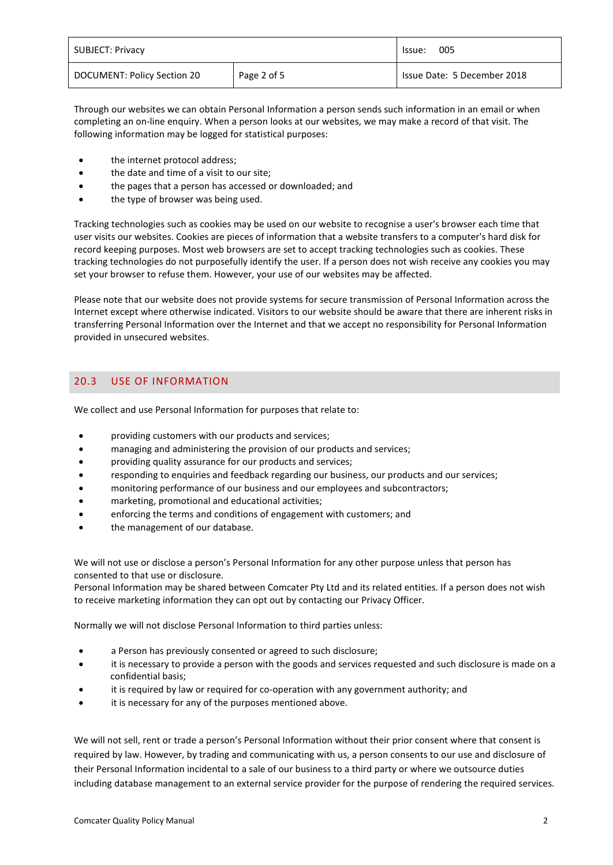| <b>SUBJECT: Privacy</b>     |             | 005<br>lssue:               |
|-----------------------------|-------------|-----------------------------|
| DOCUMENT: Policy Section 20 | Page 2 of 5 | Issue Date: 5 December 2018 |

Through our websites we can obtain Personal Information a person sends such information in an email or when completing an on-line enquiry. When a person looks at our websites, we may make a record of that visit. The following information may be logged for statistical purposes:

- the internet protocol address;
- the date and time of a visit to our site;
- the pages that a person has accessed or downloaded; and
- the type of browser was being used.

Tracking technologies such as cookies may be used on our website to recognise a user's browser each time that user visits our websites. Cookies are pieces of information that a website transfers to a computer's hard disk for record keeping purposes. Most web browsers are set to accept tracking technologies such as cookies. These tracking technologies do not purposefully identify the user. If a person does not wish receive any cookies you may set your browser to refuse them. However, your use of our websites may be affected.

Please note that our website does not provide systems for secure transmission of Personal Information across the Internet except where otherwise indicated. Visitors to our website should be aware that there are inherent risks in transferring Personal Information over the Internet and that we accept no responsibility for Personal Information provided in unsecured websites.

# 20.3 USE OF INFORMATION

We collect and use Personal Information for purposes that relate to:

- providing customers with our products and services;
- managing and administering the provision of our products and services;
- providing quality assurance for our products and services;
- responding to enquiries and feedback regarding our business, our products and our services;
- monitoring performance of our business and our employees and subcontractors;
- marketing, promotional and educational activities;
- enforcing the terms and conditions of engagement with customers; and
- the management of our database.

We will not use or disclose a person's Personal Information for any other purpose unless that person has consented to that use or disclosure.

Personal Information may be shared between Comcater Pty Ltd and its related entities. If a person does not wish to receive marketing information they can opt out by contacting our Privacy Officer.

Normally we will not disclose Personal Information to third parties unless:

- a Person has previously consented or agreed to such disclosure;
- it is necessary to provide a person with the goods and services requested and such disclosure is made on a confidential basis;
- it is required by law or required for co-operation with any government authority; and
- it is necessary for any of the purposes mentioned above.

We will not sell, rent or trade a person's Personal Information without their prior consent where that consent is required by law. However, by trading and communicating with us, a person consents to our use and disclosure of their Personal Information incidental to a sale of our business to a third party or where we outsource duties including database management to an external service provider for the purpose of rendering the required services.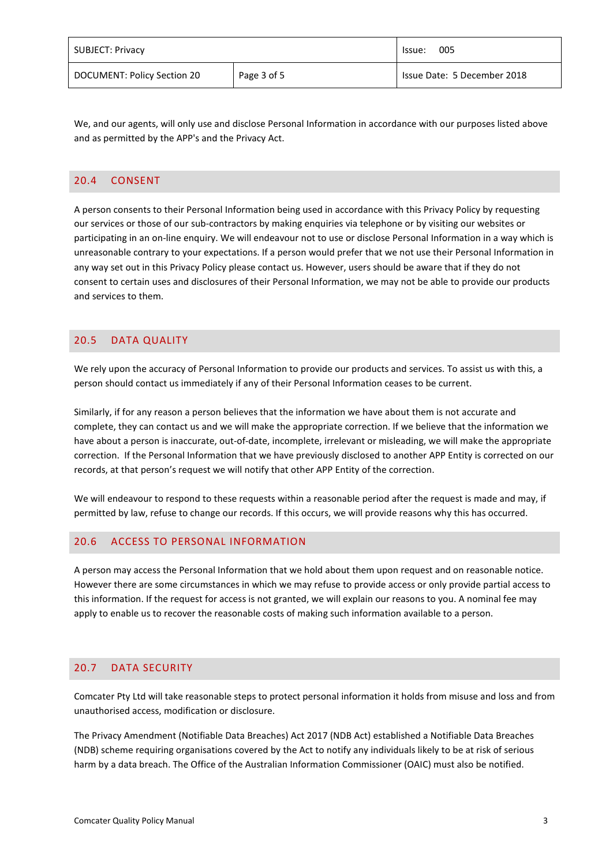| <b>SUBJECT: Privacy</b>     |             | 005<br>lssue:               |
|-----------------------------|-------------|-----------------------------|
| DOCUMENT: Policy Section 20 | Page 3 of 5 | Issue Date: 5 December 2018 |

We, and our agents, will only use and disclose Personal Information in accordance with our purposes listed above and as permitted by the APP's and the Privacy Act.

### 20.4 CONSENT

A person consents to their Personal Information being used in accordance with this Privacy Policy by requesting our services or those of our sub-contractors by making enquiries via telephone or by visiting our websites or participating in an on-line enquiry. We will endeavour not to use or disclose Personal Information in a way which is unreasonable contrary to your expectations. If a person would prefer that we not use their Personal Information in any way set out in this Privacy Policy please contact us. However, users should be aware that if they do not consent to certain uses and disclosures of their Personal Information, we may not be able to provide our products and services to them.

# 20.5 DATA QUALITY

We rely upon the accuracy of Personal Information to provide our products and services. To assist us with this, a person should contact us immediately if any of their Personal Information ceases to be current.

Similarly, if for any reason a person believes that the information we have about them is not accurate and complete, they can contact us and we will make the appropriate correction. If we believe that the information we have about a person is inaccurate, out-of-date, incomplete, irrelevant or misleading, we will make the appropriate correction. If the Personal Information that we have previously disclosed to another APP Entity is corrected on our records, at that person's request we will notify that other APP Entity of the correction.

We will endeavour to respond to these requests within a reasonable period after the request is made and may, if permitted by law, refuse to change our records. If this occurs, we will provide reasons why this has occurred.

## 20.6 ACCESS TO PERSONAL INFORMATION

A person may access the Personal Information that we hold about them upon request and on reasonable notice. However there are some circumstances in which we may refuse to provide access or only provide partial access to this information. If the request for access is not granted, we will explain our reasons to you. A nominal fee may apply to enable us to recover the reasonable costs of making such information available to a person.

## 20.7 DATA SECURITY

Comcater Pty Ltd will take reasonable steps to protect personal information it holds from misuse and loss and from unauthorised access, modification or disclosure.

The Privacy Amendment (Notifiable Data Breaches) Act 2017 (NDB Act) established a Notifiable Data Breaches (NDB) scheme requiring organisations covered by the Act to notify any individuals likely to be at risk of serious harm by a data breach. The Office of the Australian Information Commissioner (OAIC) must also be notified.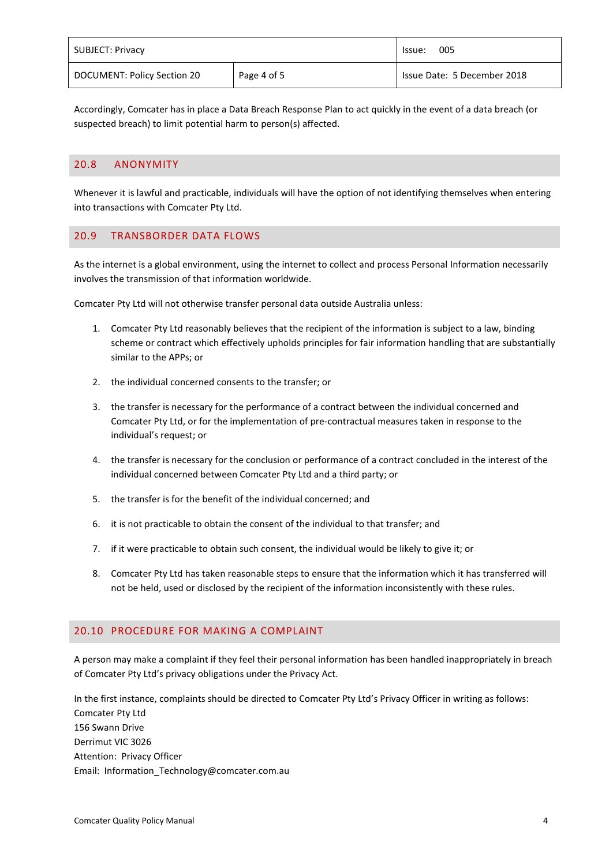| <b>SUBJECT: Privacy</b>     |             | 005<br>lssue:               |
|-----------------------------|-------------|-----------------------------|
| DOCUMENT: Policy Section 20 | Page 4 of 5 | Issue Date: 5 December 2018 |

Accordingly, Comcater has in place a Data Breach Response Plan to act quickly in the event of a data breach (or suspected breach) to limit potential harm to person(s) affected.

### 20.8 ANONYMITY

Whenever it is lawful and practicable, individuals will have the option of not identifying themselves when entering into transactions with Comcater Pty Ltd.

### 20.9 TRANSBORDER DATA FLOWS

As the internet is a global environment, using the internet to collect and process Personal Information necessarily involves the transmission of that information worldwide.

Comcater Pty Ltd will not otherwise transfer personal data outside Australia unless:

- 1. Comcater Pty Ltd reasonably believes that the recipient of the information is subject to a law, binding scheme or contract which effectively upholds principles for fair information handling that are substantially similar to the APPs; or
- 2. the individual concerned consents to the transfer; or
- 3. the transfer is necessary for the performance of a contract between the individual concerned and Comcater Pty Ltd, or for the implementation of pre-contractual measures taken in response to the individual's request; or
- 4. the transfer is necessary for the conclusion or performance of a contract concluded in the interest of the individual concerned between Comcater Pty Ltd and a third party; or
- 5. the transfer is for the benefit of the individual concerned; and
- 6. it is not practicable to obtain the consent of the individual to that transfer; and
- 7. if it were practicable to obtain such consent, the individual would be likely to give it; or
- 8. Comcater Pty Ltd has taken reasonable steps to ensure that the information which it has transferred will not be held, used or disclosed by the recipient of the information inconsistently with these rules.

#### 20.10 PROCEDURE FOR MAKING A COMPLAINT

A person may make a complaint if they feel their personal information has been handled inappropriately in breach of Comcater Pty Ltd's privacy obligations under the Privacy Act.

In the first instance, complaints should be directed to Comcater Pty Ltd's Privacy Officer in writing as follows: Comcater Pty Ltd 156 Swann Drive Derrimut VIC 3026 Attention: Privacy Officer Email: Information\_Technology@comcater.com.au